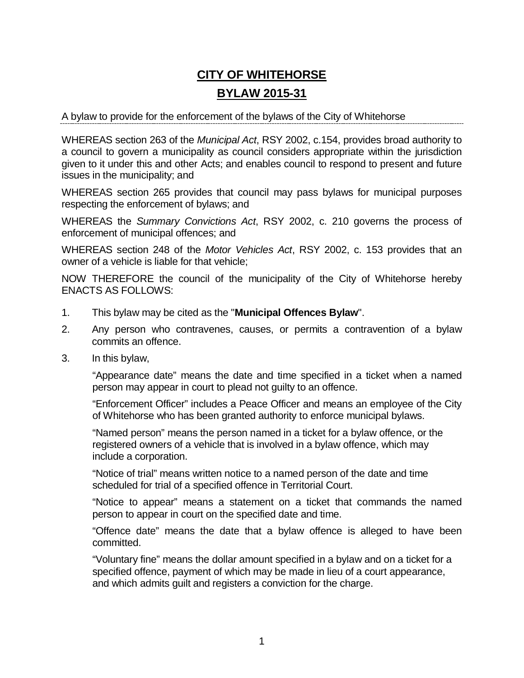# **CITY OF WHITEHORSE BYLAW 2015-31**

#### A bylaw to provide for the enforcement of the bylaws of the City of Whitehorse

WHEREAS section 263 of the *Municipal Act*, RSY 2002, c.154, provides broad authority to a council to govern a municipality as council considers appropriate within the jurisdiction given to it under this and other Acts; and enables council to respond to present and future issues in the municipality; and

WHEREAS section 265 provides that council may pass bylaws for municipal purposes respecting the enforcement of bylaws; and

WHEREAS the *Summary Convictions Act*, RSY 2002, c. 210 governs the process of enforcement of municipal offences; and

WHEREAS section 248 of the *Motor Vehicles Act*, RSY 2002, c. 153 provides that an owner of a vehicle is liable for that vehicle;

NOW THEREFORE the council of the municipality of the City of Whitehorse hereby ENACTS AS FOLLOWS:

- 1. This bylaw may be cited as the "**Municipal Offences Bylaw**".
- 2. Any person who contravenes, causes, or permits a contravention of a bylaw commits an offence.
- 3. In this bylaw,

"Appearance date" means the date and time specified in a ticket when a named person may appear in court to plead not guilty to an offence.

"Enforcement Officer" includes a Peace Officer and means an employee of the City of Whitehorse who has been granted authority to enforce municipal bylaws.

"Named person" means the person named in a ticket for a bylaw offence, or the registered owners of a vehicle that is involved in a bylaw offence, which may include a corporation.

"Notice of trial" means written notice to a named person of the date and time scheduled for trial of a specified offence in Territorial Court.

"Notice to appear" means a statement on a ticket that commands the named person to appear in court on the specified date and time.

"Offence date" means the date that a bylaw offence is alleged to have been committed.

"Voluntary fine" means the dollar amount specified in a bylaw and on a ticket for a specified offence, payment of which may be made in lieu of a court appearance, and which admits guilt and registers a conviction for the charge.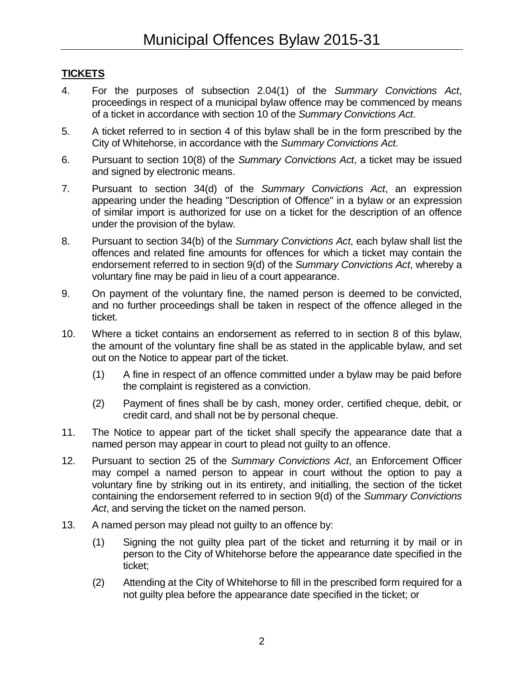# **TICKETS**

- 4. For the purposes of subsection 2.04(1) of the *Summary Convictions Act*, proceedings in respect of a municipal bylaw offence may be commenced by means of a ticket in accordance with section 10 of the *Summary Convictions Act*.
- 5. A ticket referred to in section 4 of this bylaw shall be in the form prescribed by the City of Whitehorse, in accordance with the *Summary Convictions Act*.
- 6. Pursuant to section 10(8) of the *Summary Convictions Act*, a ticket may be issued and signed by electronic means.
- 7. Pursuant to section 34(d) of the *Summary Convictions Act*, an expression appearing under the heading "Description of Offence" in a bylaw or an expression of similar import is authorized for use on a ticket for the description of an offence under the provision of the bylaw.
- 8. Pursuant to section 34(b) of the *Summary Convictions Act*, each bylaw shall list the offences and related fine amounts for offences for which a ticket may contain the endorsement referred to in section 9(d) of the *Summary Convictions Act*, whereby a voluntary fine may be paid in lieu of a court appearance.
- 9. On payment of the voluntary fine, the named person is deemed to be convicted, and no further proceedings shall be taken in respect of the offence alleged in the ticket.
- 10. Where a ticket contains an endorsement as referred to in section 8 of this bylaw, the amount of the voluntary fine shall be as stated in the applicable bylaw, and set out on the Notice to appear part of the ticket.
	- (1) A fine in respect of an offence committed under a bylaw may be paid before the complaint is registered as a conviction.
	- (2) Payment of fines shall be by cash, money order, certified cheque, debit, or credit card, and shall not be by personal cheque.
- 11. The Notice to appear part of the ticket shall specify the appearance date that a named person may appear in court to plead not guilty to an offence.
- 12. Pursuant to section 25 of the *Summary Convictions Act*, an Enforcement Officer may compel a named person to appear in court without the option to pay a voluntary fine by striking out in its entirety, and initialling, the section of the ticket containing the endorsement referred to in section 9(d) of the *Summary Convictions Act*, and serving the ticket on the named person.
- 13. A named person may plead not guilty to an offence by:
	- (1) Signing the not guilty plea part of the ticket and returning it by mail or in person to the City of Whitehorse before the appearance date specified in the ticket;
	- (2) Attending at the City of Whitehorse to fill in the prescribed form required for a not guilty plea before the appearance date specified in the ticket; or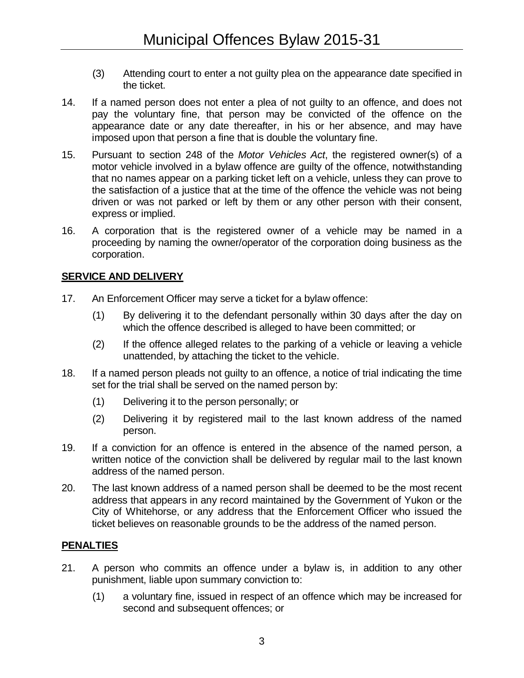- (3) Attending court to enter a not guilty plea on the appearance date specified in the ticket.
- 14. If a named person does not enter a plea of not guilty to an offence, and does not pay the voluntary fine, that person may be convicted of the offence on the appearance date or any date thereafter, in his or her absence, and may have imposed upon that person a fine that is double the voluntary fine.
- 15. Pursuant to section 248 of the *Motor Vehicles Act*, the registered owner(s) of a motor vehicle involved in a bylaw offence are guilty of the offence, notwithstanding that no names appear on a parking ticket left on a vehicle, unless they can prove to the satisfaction of a justice that at the time of the offence the vehicle was not being driven or was not parked or left by them or any other person with their consent, express or implied.
- 16. A corporation that is the registered owner of a vehicle may be named in a proceeding by naming the owner/operator of the corporation doing business as the corporation.

### **SERVICE AND DELIVERY**

- 17. An Enforcement Officer may serve a ticket for a bylaw offence:
	- (1) By delivering it to the defendant personally within 30 days after the day on which the offence described is alleged to have been committed; or
	- (2) If the offence alleged relates to the parking of a vehicle or leaving a vehicle unattended, by attaching the ticket to the vehicle.
- 18. If a named person pleads not guilty to an offence, a notice of trial indicating the time set for the trial shall be served on the named person by:
	- (1) Delivering it to the person personally; or
	- (2) Delivering it by registered mail to the last known address of the named person.
- 19. If a conviction for an offence is entered in the absence of the named person, a written notice of the conviction shall be delivered by regular mail to the last known address of the named person.
- 20. The last known address of a named person shall be deemed to be the most recent address that appears in any record maintained by the Government of Yukon or the City of Whitehorse, or any address that the Enforcement Officer who issued the ticket believes on reasonable grounds to be the address of the named person.

#### **PENALTIES**

- 21. A person who commits an offence under a bylaw is, in addition to any other punishment, liable upon summary conviction to:
	- (1) a voluntary fine, issued in respect of an offence which may be increased for second and subsequent offences; or